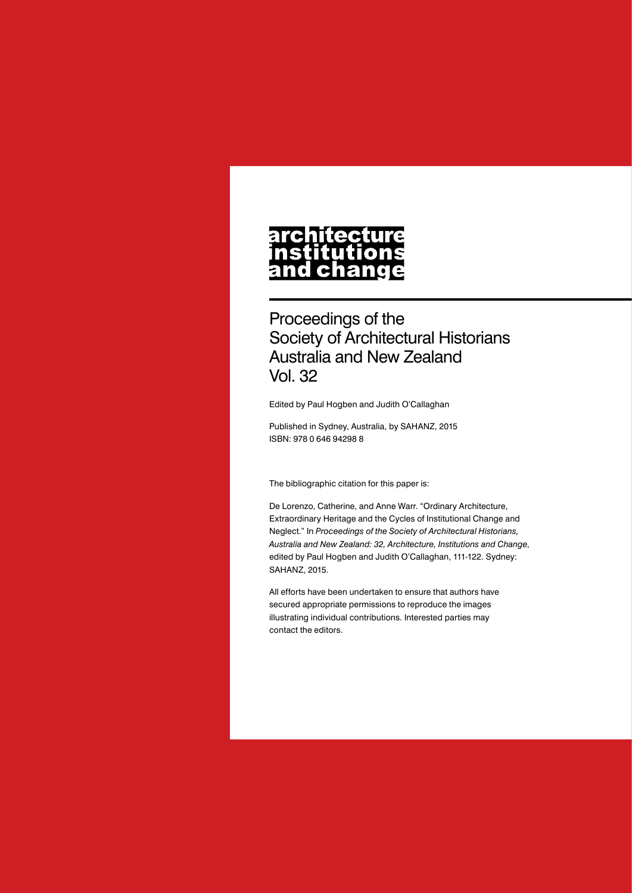# architecture nstitutions<br>and change

Proceedings of the Society of Architectural Historians Australia and New Zealand Vol. 32

Edited by Paul Hogben and Judith O'Callaghan

Published in Sydney, Australia, by SAHANZ, 2015 ISBN: 978 0 646 94298 8

The bibliographic citation for this paper is:

De Lorenzo, Catherine, and Anne Warr. "Ordinary Architecture, Extraordinary Heritage and the Cycles of Institutional Change and Neglect." In *Proceedings of the Society of Architectural Historians, Australia and New Zealand: 32, Architecture, Institutions and Change*, edited by Paul Hogben and Judith O'Callaghan, 111-122. Sydney: SAHANZ, 2015.

All efforts have been undertaken to ensure that authors have secured appropriate permissions to reproduce the images illustrating individual contributions. Interested parties may contact the editors.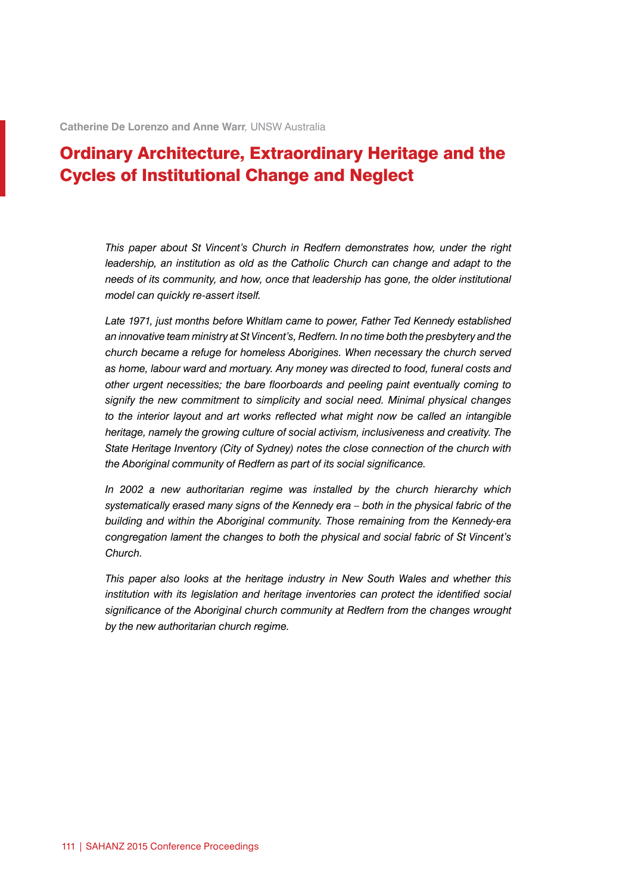## Ordinary Architecture, Extraordinary Heritage and the Cycles of Institutional Change and Neglect

*This paper about St Vincent's Church in Redfern demonstrates how, under the right leadership, an institution as old as the Catholic Church can change and adapt to the needs of its community, and how, once that leadership has gone, the older institutional model can quickly re-assert itself.*

*Late 1971, just months before Whitlam came to power, Father Ted Kennedy established an innovative team ministry at St Vincent's, Redfern. In no time both the presbytery and the church became a refuge for homeless Aborigines. When necessary the church served as home, labour ward and mortuary. Any money was directed to food, funeral costs and other urgent necessities; the bare floorboards and peeling paint eventually coming to signify the new commitment to simplicity and social need. Minimal physical changes*  to the interior layout and art works reflected what might now be called an intangible *heritage, namely the growing culture of social activism, inclusiveness and creativity. The State Heritage Inventory (City of Sydney) notes the close connection of the church with the Aboriginal community of Redfern as part of its social significance.*

*In 2002 a new authoritarian regime was installed by the church hierarchy which systematically erased many signs of the Kennedy era – both in the physical fabric of the building and within the Aboriginal community. Those remaining from the Kennedy-era congregation lament the changes to both the physical and social fabric of St Vincent's Church.*

*This paper also looks at the heritage industry in New South Wales and whether this institution with its legislation and heritage inventories can protect the identified social significance of the Aboriginal church community at Redfern from the changes wrought by the new authoritarian church regime.*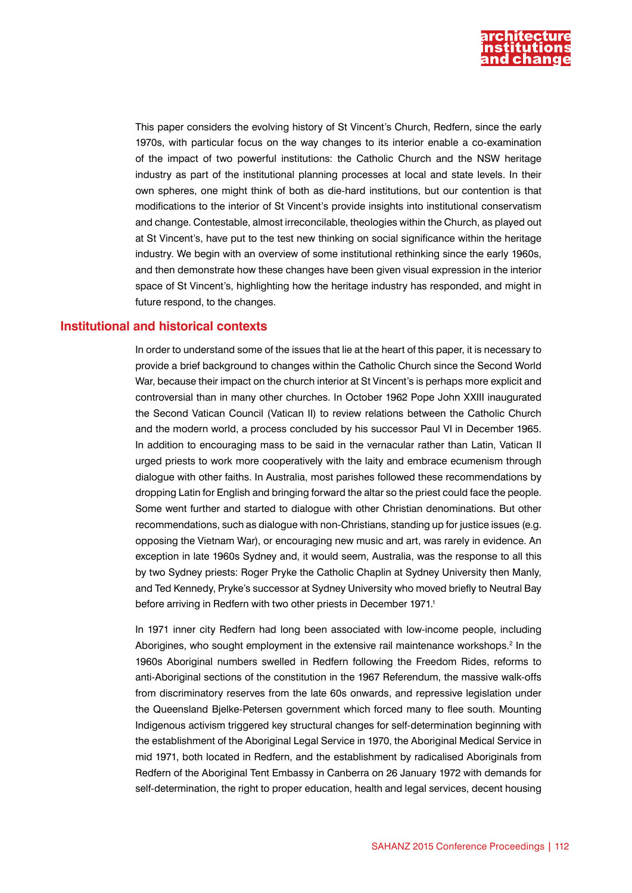

This paper considers the evolving history of St Vincent's Church, Redfern, since the early 1970s, with particular focus on the way changes to its interior enable a co-examination of the impact of two powerful institutions: the Catholic Church and the NSW heritage industry as part of the institutional planning processes at local and state levels. In their own spheres, one might think of both as die-hard institutions, but our contention is that modifications to the interior of St Vincent's provide insights into institutional conservatism and change. Contestable, almost irreconcilable, theologies within the Church, as played out at St Vincent's, have put to the test new thinking on social significance within the heritage industry. We begin with an overview of some institutional rethinking since the early 1960s, and then demonstrate how these changes have been given visual expression in the interior space of St Vincent's, highlighting how the heritage industry has responded, and might in future respond, to the changes.

#### **Institutional and historical contexts**

In order to understand some of the issues that lie at the heart of this paper, it is necessary to provide a brief background to changes within the Catholic Church since the Second World War, because their impact on the church interior at St Vincent's is perhaps more explicit and controversial than in many other churches. In October 1962 Pope John XXIII inaugurated the Second Vatican Council (Vatican II) to review relations between the Catholic Church and the modern world, a process concluded by his successor Paul VI in December 1965. In addition to encouraging mass to be said in the vernacular rather than Latin, Vatican II urged priests to work more cooperatively with the laity and embrace ecumenism through dialogue with other faiths. In Australia, most parishes followed these recommendations by dropping Latin for English and bringing forward the altar so the priest could face the people. Some went further and started to dialogue with other Christian denominations. But other recommendations, such as dialogue with non-Christians, standing up for justice issues (e.g. opposing the Vietnam War), or encouraging new music and art, was rarely in evidence. An exception in late 1960s Sydney and, it would seem, Australia, was the response to all this by two Sydney priests: Roger Pryke the Catholic Chaplin at Sydney University then Manly, and Ted Kennedy, Pryke's successor at Sydney University who moved briefly to Neutral Bay before arriving in Redfern with two other priests in December 1971.<sup>1</sup>

In 1971 inner city Redfern had long been associated with low-income people, including Aborigines, who sought employment in the extensive rail maintenance workshops.<sup>2</sup> In the 1960s Aboriginal numbers swelled in Redfern following the Freedom Rides, reforms to anti-Aboriginal sections of the constitution in the 1967 Referendum, the massive walk-offs from discriminatory reserves from the late 60s onwards, and repressive legislation under the Queensland Bjelke-Petersen government which forced many to flee south. Mounting Indigenous activism triggered key structural changes for self-determination beginning with the establishment of the Aboriginal Legal Service in 1970, the Aboriginal Medical Service in mid 1971, both located in Redfern, and the establishment by radicalised Aboriginals from Redfern of the Aboriginal Tent Embassy in Canberra on 26 January 1972 with demands for self-determination, the right to proper education, health and legal services, decent housing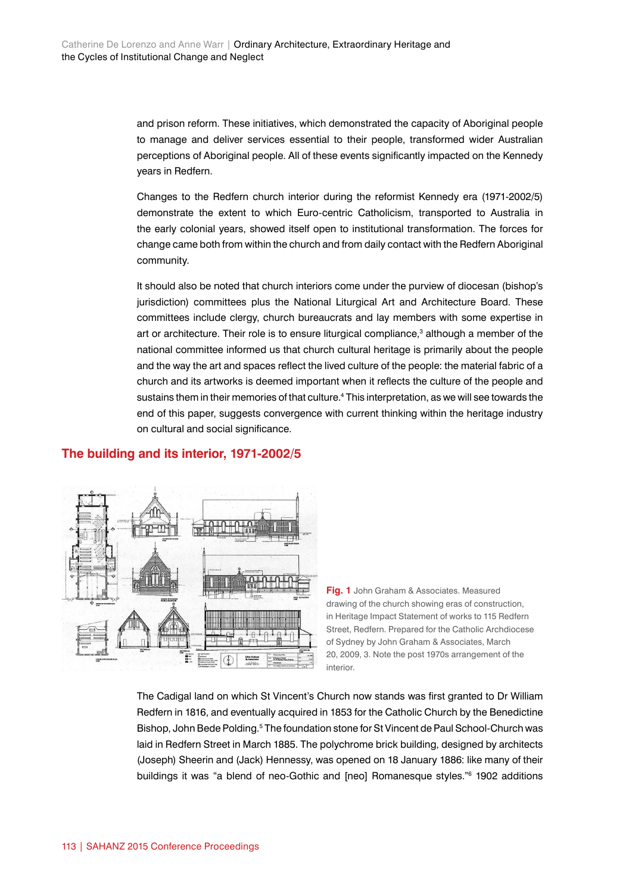and prison reform. These initiatives, which demonstrated the capacity of Aboriginal people to manage and deliver services essential to their people, transformed wider Australian perceptions of Aboriginal people. All of these events significantly impacted on the Kennedy years in Redfern.

Changes to the Redfern church interior during the reformist Kennedy era (1971-2002/5) demonstrate the extent to which Euro-centric Catholicism, transported to Australia in the early colonial years, showed itself open to institutional transformation. The forces for change came both from within the church and from daily contact with the Redfern Aboriginal community.

It should also be noted that church interiors come under the purview of diocesan (bishop's jurisdiction) committees plus the National Liturgical Art and Architecture Board. These committees include clergy, church bureaucrats and lay members with some expertise in art or architecture. Their role is to ensure liturgical compliance,<sup>3</sup> although a member of the national committee informed us that church cultural heritage is primarily about the people and the way the art and spaces reflect the lived culture of the people: the material fabric of a church and its artworks is deemed important when it reflects the culture of the people and sustains them in their memories of that culture.4 This interpretation, as we will see towards the end of this paper, suggests convergence with current thinking within the heritage industry on cultural and social significance.

### **The building and its interior, 1971-2002/5**



**Fig. 1** John Graham & Associates. Measured drawing of the church showing eras of construction, in Heritage Impact Statement of works to 115 Redfern Street, Redfern. Prepared for the Catholic Archdiocese of Sydney by John Graham & Associates, March 20, 2009, 3. Note the post 1970s arrangement of the interior.

The Cadigal land on which St Vincent's Church now stands was first granted to Dr William Redfern in 1816, and eventually acquired in 1853 for the Catholic Church by the Benedictine Bishop, John Bede Polding.<sup>5</sup> The foundation stone for St Vincent de Paul School-Church was laid in Redfern Street in March 1885. The polychrome brick building, designed by architects (Joseph) Sheerin and (Jack) Hennessy, was opened on 18 January 1886: like many of their buildings it was "a blend of neo-Gothic and [neo] Romanesque styles."6 1902 additions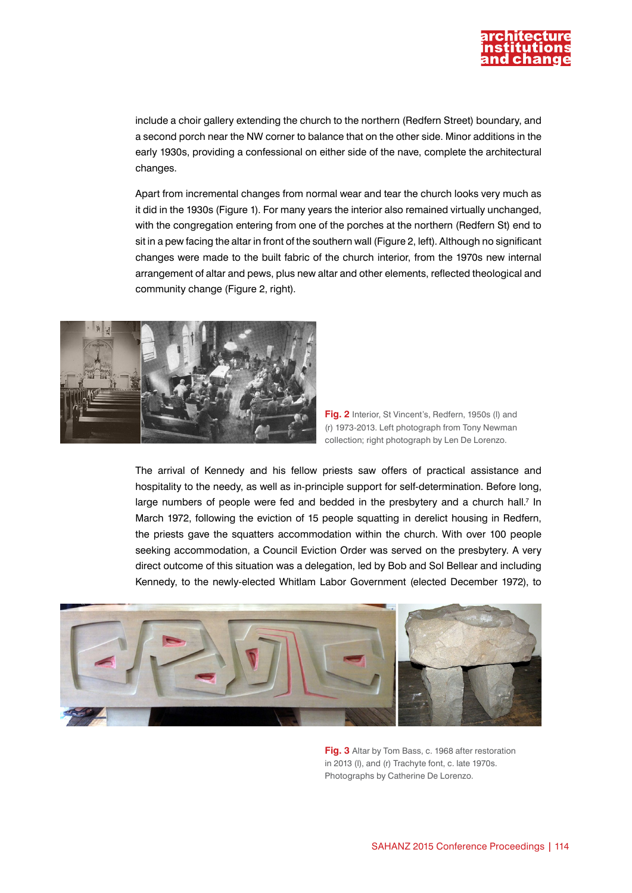

include a choir gallery extending the church to the northern (Redfern Street) boundary, and a second porch near the NW corner to balance that on the other side. Minor additions in the early 1930s, providing a confessional on either side of the nave, complete the architectural changes.

Apart from incremental changes from normal wear and tear the church looks very much as it did in the 1930s (Figure 1). For many years the interior also remained virtually unchanged, with the congregation entering from one of the porches at the northern (Redfern St) end to sit in a pew facing the altar in front of the southern wall (Figure 2, left). Although no significant changes were made to the built fabric of the church interior, from the 1970s new internal arrangement of altar and pews, plus new altar and other elements, reflected theological and community change (Figure 2, right).





The arrival of Kennedy and his fellow priests saw offers of practical assistance and hospitality to the needy, as well as in-principle support for self-determination. Before long, large numbers of people were fed and bedded in the presbytery and a church hall.<sup>7</sup> In March 1972, following the eviction of 15 people squatting in derelict housing in Redfern, the priests gave the squatters accommodation within the church. With over 100 people seeking accommodation, a Council Eviction Order was served on the presbytery. A very direct outcome of this situation was a delegation, led by Bob and Sol Bellear and including Kennedy, to the newly-elected Whitlam Labor Government (elected December 1972), to



**Fig. 3** Altar by Tom Bass, c. 1968 after restoration in 2013 (l), and (r) Trachyte font, c. late 1970s. Photographs by Catherine De Lorenzo.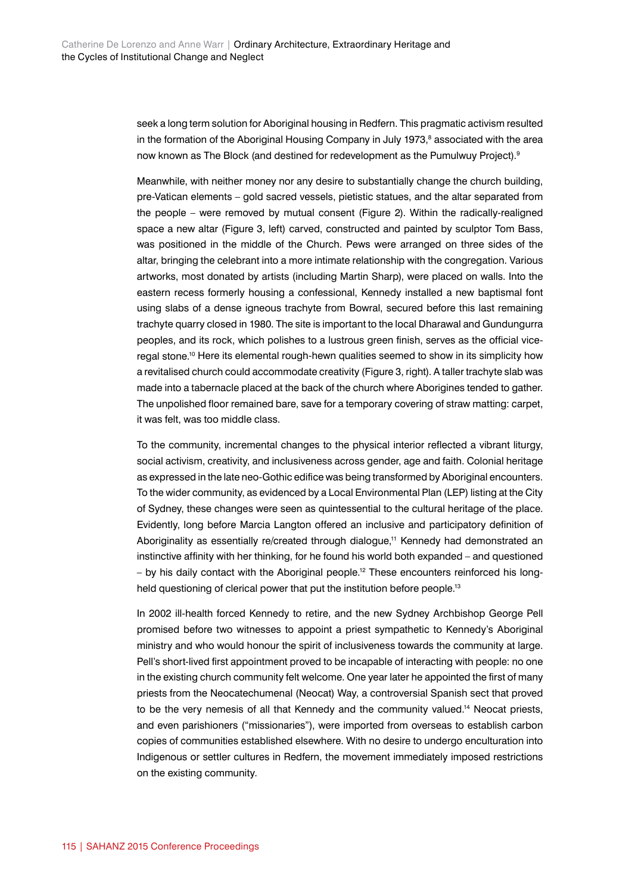seek a long term solution for Aboriginal housing in Redfern. This pragmatic activism resulted in the formation of the Aboriginal Housing Company in July 1973,<sup>8</sup> associated with the area now known as The Block (and destined for redevelopment as the Pumulwuy Project).<sup>9</sup>

Meanwhile, with neither money nor any desire to substantially change the church building, pre-Vatican elements – gold sacred vessels, pietistic statues, and the altar separated from the people – were removed by mutual consent (Figure 2). Within the radically-realigned space a new altar (Figure 3, left) carved, constructed and painted by sculptor Tom Bass, was positioned in the middle of the Church. Pews were arranged on three sides of the altar, bringing the celebrant into a more intimate relationship with the congregation. Various artworks, most donated by artists (including Martin Sharp), were placed on walls. Into the eastern recess formerly housing a confessional, Kennedy installed a new baptismal font using slabs of a dense igneous trachyte from Bowral, secured before this last remaining trachyte quarry closed in 1980. The site is important to the local Dharawal and Gundungurra peoples, and its rock, which polishes to a lustrous green finish, serves as the official viceregal stone.10 Here its elemental rough-hewn qualities seemed to show in its simplicity how a revitalised church could accommodate creativity (Figure 3, right). A taller trachyte slab was made into a tabernacle placed at the back of the church where Aborigines tended to gather. The unpolished floor remained bare, save for a temporary covering of straw matting: carpet, it was felt, was too middle class.

To the community, incremental changes to the physical interior reflected a vibrant liturgy, social activism, creativity, and inclusiveness across gender, age and faith. Colonial heritage as expressed in the late neo-Gothic edifice was being transformed by Aboriginal encounters. To the wider community, as evidenced by a Local Environmental Plan (LEP) listing at the City of Sydney, these changes were seen as quintessential to the cultural heritage of the place. Evidently, long before Marcia Langton offered an inclusive and participatory definition of Aboriginality as essentially re/created through dialogue.<sup>11</sup> Kennedy had demonstrated an instinctive affinity with her thinking, for he found his world both expanded – and questioned – by his daily contact with the Aboriginal people.12 These encounters reinforced his longheld questioning of clerical power that put the institution before people.<sup>13</sup>

In 2002 ill-health forced Kennedy to retire, and the new Sydney Archbishop George Pell promised before two witnesses to appoint a priest sympathetic to Kennedy's Aboriginal ministry and who would honour the spirit of inclusiveness towards the community at large. Pell's short-lived first appointment proved to be incapable of interacting with people: no one in the existing church community felt welcome. One year later he appointed the first of many priests from the Neocatechumenal (Neocat) Way, a controversial Spanish sect that proved to be the very nemesis of all that Kennedy and the community valued.<sup>14</sup> Neocat priests, and even parishioners ("missionaries"), were imported from overseas to establish carbon copies of communities established elsewhere. With no desire to undergo enculturation into Indigenous or settler cultures in Redfern, the movement immediately imposed restrictions on the existing community.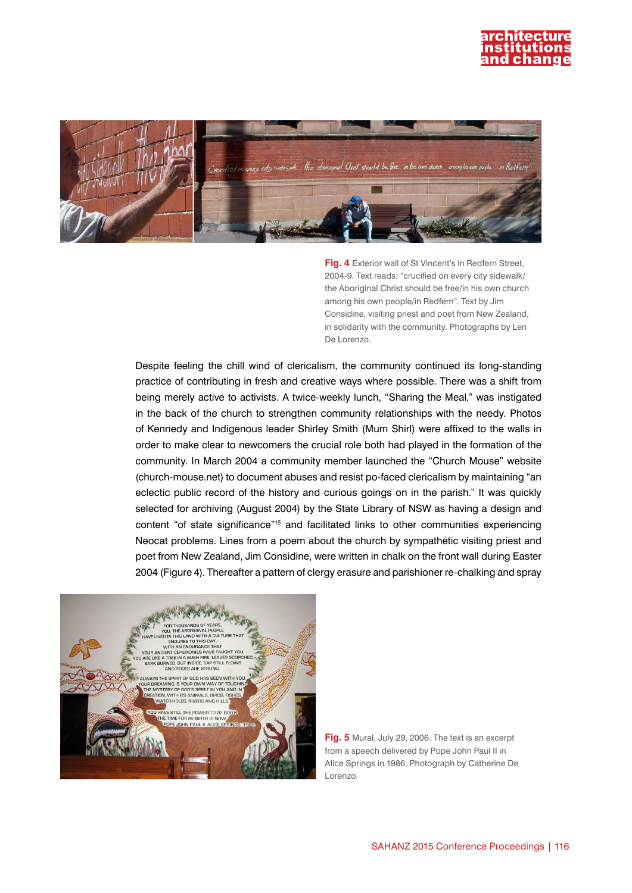



**Fig. 4** Exterior wall of St Vincent's in Redfern Street, 2004-9. Text reads: "crucified on every city sidewalk/ the Aboriginal Christ should be free/in his own church among his own people/in Redfern". Text by Jim Considine, visiting priest and poet from New Zealand, in solidarity with the community. Photographs by Len De Lorenzo.

Despite feeling the chill wind of clericalism, the community continued its long-standing practice of contributing in fresh and creative ways where possible. There was a shift from being merely active to activists. A twice-weekly lunch, "Sharing the Meal," was instigated in the back of the church to strengthen community relationships with the needy. Photos of Kennedy and Indigenous leader Shirley Smith (Mum Shirl) were affixed to the walls in order to make clear to newcomers the crucial role both had played in the formation of the community. In March 2004 a community member launched the "Church Mouse" website (church-mouse.net) to document abuses and resist po-faced clericalism by maintaining "an eclectic public record of the history and curious goings on in the parish." It was quickly selected for archiving (August 2004) by the State Library of NSW as having a design and content "of state significance"15 and facilitated links to other communities experiencing Neocat problems. Lines from a poem about the church by sympathetic visiting priest and poet from New Zealand, Jim Considine, were written in chalk on the front wall during Easter 2004 (Figure 4). Thereafter a pattern of clergy erasure and parishioner re-chalking and spray



**Fig. 5** Mural, July 29, 2006. The text is an excerpt from a speech delivered by Pope John Paul II in Alice Springs in 1986. Photograph by Catherine De Lorenzo.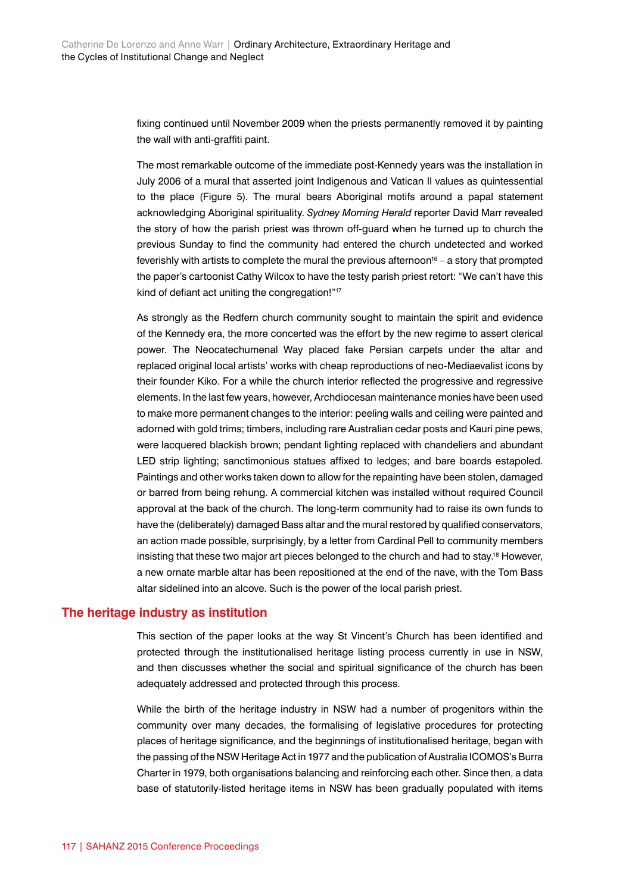fixing continued until November 2009 when the priests permanently removed it by painting the wall with anti-graffiti paint.

The most remarkable outcome of the immediate post-Kennedy years was the installation in July 2006 of a mural that asserted joint Indigenous and Vatican II values as quintessential to the place (Figure 5). The mural bears Aboriginal motifs around a papal statement acknowledging Aboriginal spirituality. *Sydney Morning Herald* reporter David Marr revealed the story of how the parish priest was thrown off-guard when he turned up to church the previous Sunday to find the community had entered the church undetected and worked feverishly with artists to complete the mural the previous afternoon $16 - a$  story that prompted the paper's cartoonist Cathy Wilcox to have the testy parish priest retort: "We can't have this kind of defiant act uniting the congregation!"17

As strongly as the Redfern church community sought to maintain the spirit and evidence of the Kennedy era, the more concerted was the effort by the new regime to assert clerical power. The Neocatechumenal Way placed fake Persian carpets under the altar and replaced original local artists' works with cheap reproductions of neo-Mediaevalist icons by their founder Kiko. For a while the church interior reflected the progressive and regressive elements. In the last few years, however, Archdiocesan maintenance monies have been used to make more permanent changes to the interior: peeling walls and ceiling were painted and adorned with gold trims; timbers, including rare Australian cedar posts and Kauri pine pews, were lacquered blackish brown; pendant lighting replaced with chandeliers and abundant LED strip lighting; sanctimonious statues affixed to ledges; and bare boards estapoled. Paintings and other works taken down to allow for the repainting have been stolen, damaged or barred from being rehung. A commercial kitchen was installed without required Council approval at the back of the church. The long-term community had to raise its own funds to have the (deliberately) damaged Bass altar and the mural restored by qualified conservators, an action made possible, surprisingly, by a letter from Cardinal Pell to community members insisting that these two major art pieces belonged to the church and had to stay.<sup>18</sup> However, a new ornate marble altar has been repositioned at the end of the nave, with the Tom Bass altar sidelined into an alcove. Such is the power of the local parish priest.

#### **The heritage industry as institution**

This section of the paper looks at the way St Vincent's Church has been identified and protected through the institutionalised heritage listing process currently in use in NSW, and then discusses whether the social and spiritual significance of the church has been adequately addressed and protected through this process.

While the birth of the heritage industry in NSW had a number of progenitors within the community over many decades, the formalising of legislative procedures for protecting places of heritage significance, and the beginnings of institutionalised heritage, began with the passing of the NSW Heritage Act in 1977 and the publication of Australia ICOMOS's Burra Charter in 1979, both organisations balancing and reinforcing each other. Since then, a data base of statutorily-listed heritage items in NSW has been gradually populated with items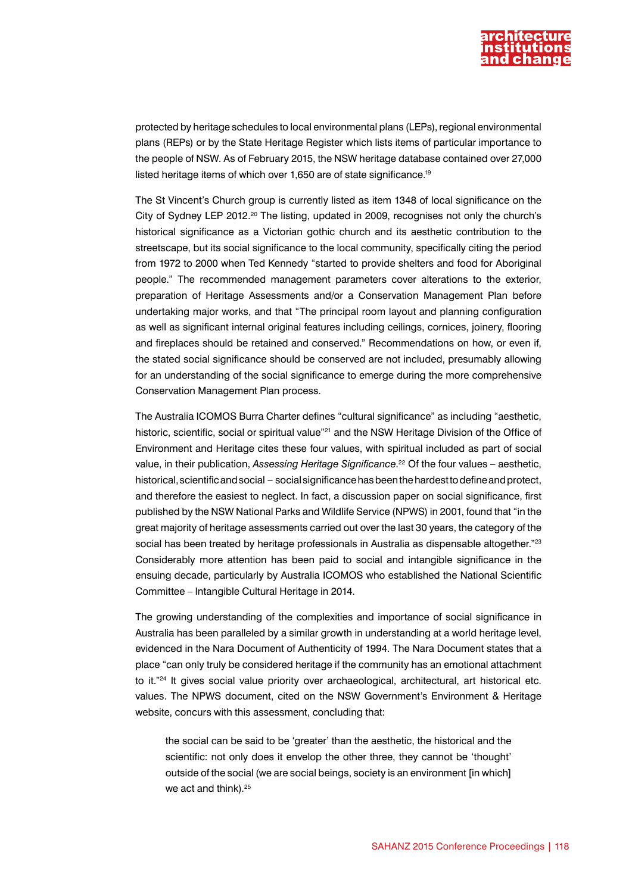

protected by heritage schedules to local environmental plans (LEPs), regional environmental plans (REPs) or by the State Heritage Register which lists items of particular importance to the people of NSW. As of February 2015, the NSW heritage database contained over 27,000 listed heritage items of which over 1,650 are of state significance.19

The St Vincent's Church group is currently listed as item 1348 of local significance on the City of Sydney LEP 2012.<sup>20</sup> The listing, updated in 2009, recognises not only the church's historical significance as a Victorian gothic church and its aesthetic contribution to the streetscape, but its social significance to the local community, specifically citing the period from 1972 to 2000 when Ted Kennedy "started to provide shelters and food for Aboriginal people." The recommended management parameters cover alterations to the exterior, preparation of Heritage Assessments and/or a Conservation Management Plan before undertaking major works, and that "The principal room layout and planning configuration as well as significant internal original features including ceilings, cornices, joinery, flooring and fireplaces should be retained and conserved." Recommendations on how, or even if, the stated social significance should be conserved are not included, presumably allowing for an understanding of the social significance to emerge during the more comprehensive Conservation Management Plan process.

The Australia ICOMOS Burra Charter defines "cultural significance" as including "aesthetic, historic, scientific, social or spiritual value"<sup>21</sup> and the NSW Heritage Division of the Office of Environment and Heritage cites these four values, with spiritual included as part of social value, in their publication, *Assessing Heritage Significance*. 22 Of the four values – aesthetic, historical, scientific and social – social significance has been the hardest to define and protect, and therefore the easiest to neglect. In fact, a discussion paper on social significance, first published by the NSW National Parks and Wildlife Service (NPWS) in 2001, found that "in the great majority of heritage assessments carried out over the last 30 years, the category of the social has been treated by heritage professionals in Australia as dispensable altogether."<sup>23</sup> Considerably more attention has been paid to social and intangible significance in the ensuing decade, particularly by Australia ICOMOS who established the National Scientific Committee – Intangible Cultural Heritage in 2014.

The growing understanding of the complexities and importance of social significance in Australia has been paralleled by a similar growth in understanding at a world heritage level, evidenced in the Nara Document of Authenticity of 1994. The Nara Document states that a place "can only truly be considered heritage if the community has an emotional attachment to it."<sup>24</sup> It gives social value priority over archaeological, architectural, art historical etc. values. The NPWS document, cited on the NSW Government's Environment & Heritage website, concurs with this assessment, concluding that:

the social can be said to be 'greater' than the aesthetic, the historical and the scientific: not only does it envelop the other three, they cannot be 'thought' outside of the social (we are social beings, society is an environment [in which] we act and think).<sup>25</sup>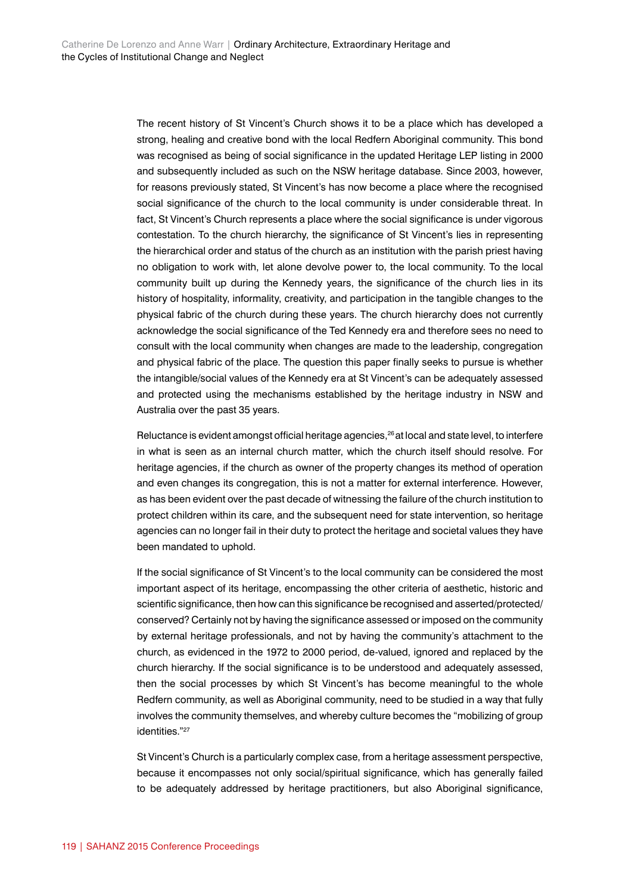The recent history of St Vincent's Church shows it to be a place which has developed a strong, healing and creative bond with the local Redfern Aboriginal community. This bond was recognised as being of social significance in the updated Heritage LEP listing in 2000 and subsequently included as such on the NSW heritage database. Since 2003, however, for reasons previously stated, St Vincent's has now become a place where the recognised social significance of the church to the local community is under considerable threat. In fact, St Vincent's Church represents a place where the social significance is under vigorous contestation. To the church hierarchy, the significance of St Vincent's lies in representing the hierarchical order and status of the church as an institution with the parish priest having no obligation to work with, let alone devolve power to, the local community. To the local community built up during the Kennedy years, the significance of the church lies in its history of hospitality, informality, creativity, and participation in the tangible changes to the physical fabric of the church during these years. The church hierarchy does not currently acknowledge the social significance of the Ted Kennedy era and therefore sees no need to consult with the local community when changes are made to the leadership, congregation and physical fabric of the place. The question this paper finally seeks to pursue is whether the intangible/social values of the Kennedy era at St Vincent's can be adequately assessed and protected using the mechanisms established by the heritage industry in NSW and Australia over the past 35 years.

Reluctance is evident amongst official heritage agencies,<sup>26</sup> at local and state level, to interfere in what is seen as an internal church matter, which the church itself should resolve. For heritage agencies, if the church as owner of the property changes its method of operation and even changes its congregation, this is not a matter for external interference. However, as has been evident over the past decade of witnessing the failure of the church institution to protect children within its care, and the subsequent need for state intervention, so heritage agencies can no longer fail in their duty to protect the heritage and societal values they have been mandated to uphold.

If the social significance of St Vincent's to the local community can be considered the most important aspect of its heritage, encompassing the other criteria of aesthetic, historic and scientific significance, then how can this significance be recognised and asserted/protected/ conserved? Certainly not by having the significance assessed or imposed on the community by external heritage professionals, and not by having the community's attachment to the church, as evidenced in the 1972 to 2000 period, de-valued, ignored and replaced by the church hierarchy. If the social significance is to be understood and adequately assessed, then the social processes by which St Vincent's has become meaningful to the whole Redfern community, as well as Aboriginal community, need to be studied in a way that fully involves the community themselves, and whereby culture becomes the "mobilizing of group identities."27

St Vincent's Church is a particularly complex case, from a heritage assessment perspective, because it encompasses not only social/spiritual significance, which has generally failed to be adequately addressed by heritage practitioners, but also Aboriginal significance,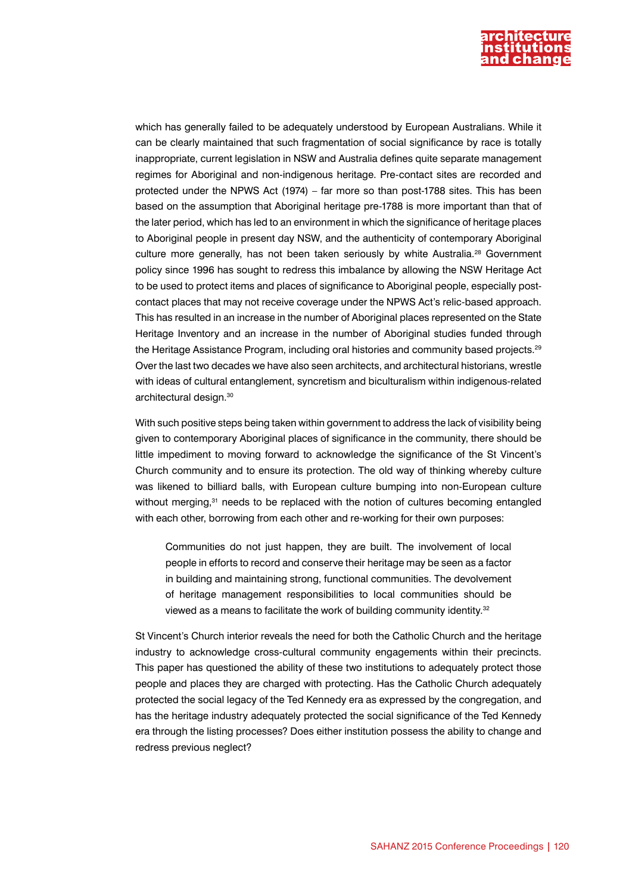

which has generally failed to be adequately understood by European Australians. While it can be clearly maintained that such fragmentation of social significance by race is totally inappropriate, current legislation in NSW and Australia defines quite separate management regimes for Aboriginal and non-indigenous heritage. Pre-contact sites are recorded and protected under the NPWS Act (1974) – far more so than post-1788 sites. This has been based on the assumption that Aboriginal heritage pre-1788 is more important than that of the later period, which has led to an environment in which the significance of heritage places to Aboriginal people in present day NSW, and the authenticity of contemporary Aboriginal culture more generally, has not been taken seriously by white Australia.<sup>28</sup> Government policy since 1996 has sought to redress this imbalance by allowing the NSW Heritage Act to be used to protect items and places of significance to Aboriginal people, especially postcontact places that may not receive coverage under the NPWS Act's relic-based approach. This has resulted in an increase in the number of Aboriginal places represented on the State Heritage Inventory and an increase in the number of Aboriginal studies funded through the Heritage Assistance Program, including oral histories and community based projects.<sup>29</sup> Over the last two decades we have also seen architects, and architectural historians, wrestle with ideas of cultural entanglement, syncretism and biculturalism within indigenous-related architectural design.<sup>30</sup>

With such positive steps being taken within government to address the lack of visibility being given to contemporary Aboriginal places of significance in the community, there should be little impediment to moving forward to acknowledge the significance of the St Vincent's Church community and to ensure its protection. The old way of thinking whereby culture was likened to billiard balls, with European culture bumping into non-European culture without merging,<sup>31</sup> needs to be replaced with the notion of cultures becoming entangled with each other, borrowing from each other and re-working for their own purposes:

Communities do not just happen, they are built. The involvement of local people in efforts to record and conserve their heritage may be seen as a factor in building and maintaining strong, functional communities. The devolvement of heritage management responsibilities to local communities should be viewed as a means to facilitate the work of building community identity.<sup>32</sup>

St Vincent's Church interior reveals the need for both the Catholic Church and the heritage industry to acknowledge cross-cultural community engagements within their precincts. This paper has questioned the ability of these two institutions to adequately protect those people and places they are charged with protecting. Has the Catholic Church adequately protected the social legacy of the Ted Kennedy era as expressed by the congregation, and has the heritage industry adequately protected the social significance of the Ted Kennedy era through the listing processes? Does either institution possess the ability to change and redress previous neglect?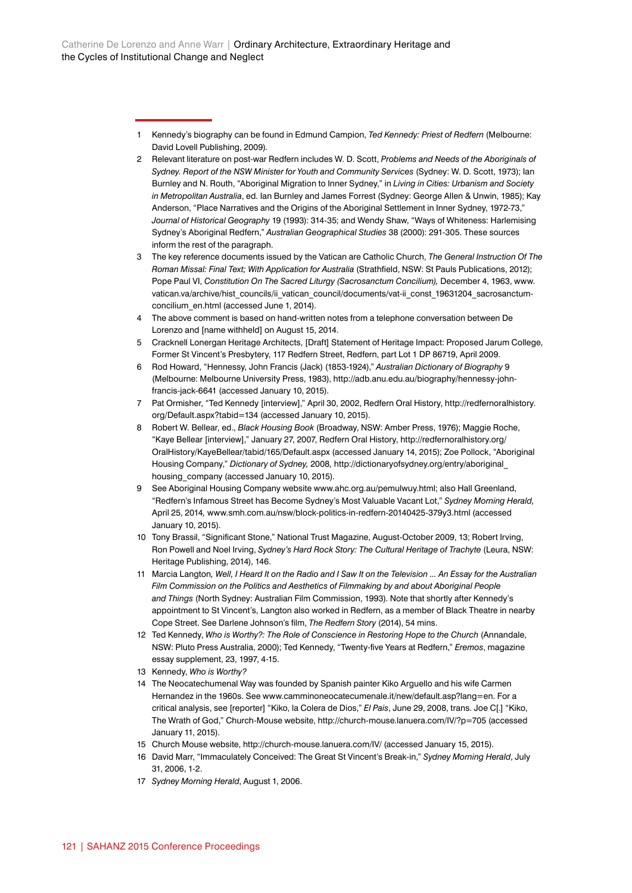- 1 Kennedy's biography can be found in Edmund Campion, *Ted Kennedy: Priest of Redfern* (Melbourne: David Lovell Publishing, 2009)*.*
- 2 Relevant literature on post-war Redfern includes W. D. Scott, *Problems and Needs of the Aboriginals of Sydney. Report of the NSW Minister for Youth and Community Services* (Sydney: W. D. Scott, 1973); Ian Burnley and N. Routh, "Aboriginal Migration to Inner Sydney," in *Living in Cities: Urbanism and Society in Metropolitan Australia*, ed. Ian Burnley and James Forrest (Sydney: George Allen & Unwin, 1985); Kay Anderson, "Place Narratives and the Origins of the Aboriginal Settlement in Inner Sydney, 1972-73," *Journal of Historical Geography* 19 (1993): 314-35; and Wendy Shaw, "Ways of Whiteness: Harlemising Sydney's Aboriginal Redfern," *Australian Geographical Studies* 38 (2000): 291-305. These sources inform the rest of the paragraph.
- 3 The key reference documents issued by the Vatican are Catholic Church, *The General Instruction Of The Roman Missal: Final Text; With Application for Australia* (Strathfield, NSW: St Pauls Publications, 2012); Pope Paul VI, Constitution On The Sacred Liturgy (Sacrosanctum Concilium), December 4, 1963, [www.](http://www.vatican.va/archive/hist_councils/ii_vatican_council/documents/vat-ii_const_19631204_sacrosanctum-concilium_en.html) [vatican.va/archive/hist\\_councils/ii\\_vatican\\_council/documents/vat-ii\\_const\\_19631204\\_sacrosanctum](http://www.vatican.va/archive/hist_councils/ii_vatican_council/documents/vat-ii_const_19631204_sacrosanctum-concilium_en.html)[concilium\\_en.html](http://www.vatican.va/archive/hist_councils/ii_vatican_council/documents/vat-ii_const_19631204_sacrosanctum-concilium_en.html) (accessed June 1, 2014).
- 4 The above comment is based on hand-written notes from a telephone conversation between De Lorenzo and [name withheld] on August 15, 2014.
- 5 Cracknell Lonergan Heritage Architects, [Draft] Statement of Heritage Impact: Proposed Jarum College, Former St Vincent's Presbytery, 117 Redfern Street, Redfern, part Lot 1 DP 86719, April 2009.
- 6 Rod Howard, "Hennessy, John Francis (Jack) (1853-1924)," *Australian Dictionary of Biography* 9 (Melbourne: Melbourne University Press, 1983), [http://adb.anu.edu.au/biography/hennessy-john](http://adb.anu.edu.au/biography/hennessy-john-francis-jack-6641)[francis-jack-6641](http://adb.anu.edu.au/biography/hennessy-john-francis-jack-6641) (accessed January 10, 2015).
- 7 Pat Ormisher, "Ted Kennedy [interview]," April 30, 2002, Redfern Oral History, [http://redfernoralhistory.](http://redfernoralhistory.org/Default.aspx?tabid=134) [org/Default.aspx?tabid=134](http://redfernoralhistory.org/Default.aspx?tabid=134) (accessed January 10, 2015).
- 8 Robert W. Bellear, ed., *Black Housing Book* (Broadway, NSW: Amber Press, 1976); Maggie Roche, "Kaye Bellear [interview]," January 27, 2007, Redfern Oral History, [http://redfernoralhistory.org/](http://redfernoralhistory.org/OralHistory/KayeBellear/tabid/165/Default.aspx) [OralHistory/KayeBellear/tabid/165/Default.aspx](http://redfernoralhistory.org/OralHistory/KayeBellear/tabid/165/Default.aspx) (accessed January 14, 2015); Zoe Pollock, "Aboriginal Housing Company," *Dictionary of Sydney,* 2008*,* [http://dictionaryofsydney.org/entry/aboriginal\\_](http://dictionaryofsydney.org/entry/aboriginal_housing_company) housing company (accessed January 10, 2015).
- 9 See Aboriginal Housing Company website [www.ahc.org.au/pemulwuy.html](http://www.ahc.org.au/pemulwuy.html); also Hall Greenland, "Redfern's Infamous Street has Become Sydney's Most Valuable Vacant Lot," *Sydney Morning Herald,*  April 25, 2014*,* [www.smh.com.au/nsw/block-politics-in-redfern-20140425-379y3.html](http://www.smh.com.au/nsw/block-politics-in-redfern-20140425-379y3.html) (accessed January 10, 2015).
- 10 Tony Brassil, "Significant Stone," National Trust Magazine, August-October 2009, 13; Robert Irving, Ron Powell and Noel Irving, Sydney's Hard Rock Story: The Cultural Heritage of Trachyte (Leura, NSW: Heritage Publishing, 2014), 146.
- 11 Marcia Langton*, Well, I Heard It on the Radio and I Saw It on the Television ... An Essay for the Australian Film Commission on the Politics and Aesthetics of Filmmaking by and about Aboriginal People and Things* (North Sydney: Australian Film Commission, 1993). Note that shortly after Kennedy's appointment to St Vincent's, Langton also worked in Redfern, as a member of Black Theatre in nearby Cope Street. See Darlene Johnson's film, *The Redfern Story* (2014), 54 mins.
- 12 Ted Kennedy, *Who is Worthy?: The Role of Conscience in Restoring Hope to the Church* (Annandale, NSW: Pluto Press Australia, 2000); Ted Kennedy, "Twenty-five Years at Redfern," *Eremos*, magazine essay supplement, 23, 1997, 4-15.
- 13 Kennedy, *Who is Worthy?*
- 14 The Neocatechumenal Way was founded by Spanish painter Kiko Arguello and his wife Carmen Hernandez in the 1960s. See [www.camminoneocatecumenale.it/new/default.asp?lang=en](http://www.camminoneocatecumenale.it/new/default.asp?lang=en). For a critical analysis, see [reporter] "Kiko, la Colera de Dios," *El Pais*, June 29, 2008, trans. Joe C[.] "Kiko, The Wrath of God," Church-Mouse website,<http://church-mouse.lanuera.com/IV/?p=705> (accessed January 11, 2015).
- 15 Church Mouse website,<http://church-mouse.lanuera.com/IV/>(accessed January 15, 2015).
- 16 David Marr, "Immaculately Conceived: The Great St Vincent's Break-in," *Sydney Morning Herald*, July 31, 2006, 1-2.
- 17 *Sydney Morning Herald*, August 1, 2006.